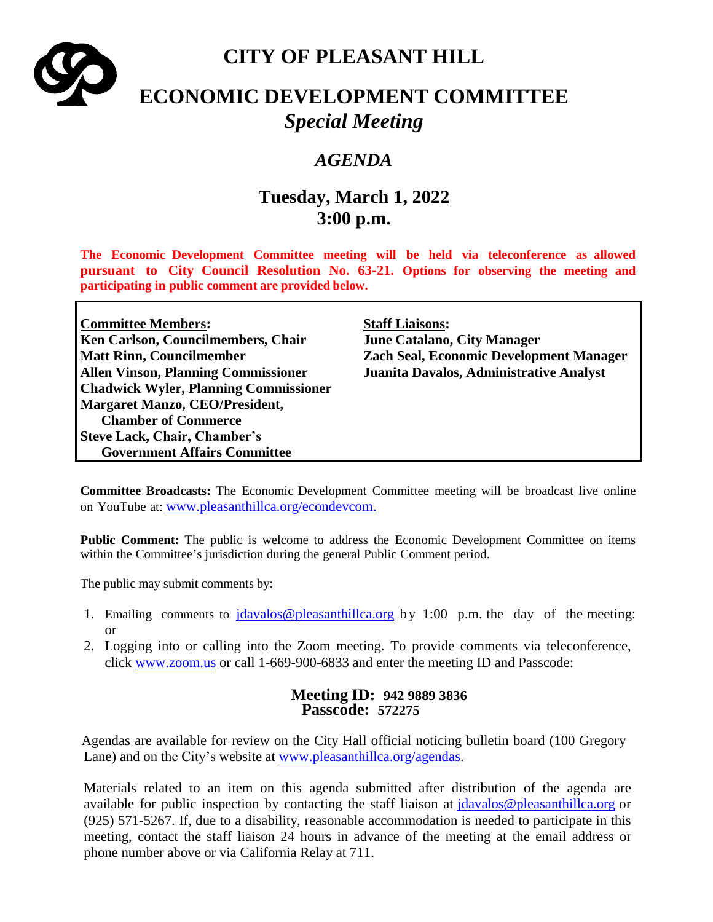

# **CITY OF PLEASANT HILL**

# **ECONOMIC DEVELOPMENT COMMITTEE** *Special Meeting*

## *AGENDA*

# **Tuesday, March 1, 2022 3:00 p.m.**

**The Economic Development Committee meeting will be held via teleconference as allowed pursuant to City Council Resolution No. 63-21. Options for observing the meeting and participating in public comment are provided below.**

| <b>Committee Members:</b>                    | <b>Staff Liaisons:</b>                         |
|----------------------------------------------|------------------------------------------------|
| Ken Carlson, Councilmembers, Chair           | <b>June Catalano, City Manager</b>             |
| <b>Matt Rinn, Councilmember</b>              | <b>Zach Seal, Economic Development Manager</b> |
| <b>Allen Vinson, Planning Commissioner</b>   | Juanita Davalos, Administrative Analyst        |
| <b>Chadwick Wyler, Planning Commissioner</b> |                                                |
| <b>Margaret Manzo, CEO/President,</b>        |                                                |
| <b>Chamber of Commerce</b>                   |                                                |
| <b>Steve Lack, Chair, Chamber's</b>          |                                                |
| <b>Government Affairs Committee</b>          |                                                |

**Committee Broadcasts:** The Economic Development Committee meeting will be broadcast live online on YouTube at: [www.pleasanthillca.org/econdevcom.](http://www.pleasanthillca.org/econdevcom)

**Public Comment:** The public is welcome to address the Economic Development Committee on items within the Committee's jurisdiction during the general Public Comment period.

The public may submit comments by:

- 1. Emailing comments to  $\frac{\mathrm{d}a \vee a \wedge \mathrm{d}b}{\mathrm{d}a \vee \mathrm{d}b}$  by 1:00 p.m. the day of the meeting: or
- 2. Logging into or calling into the Zoom meeting. To provide comments via teleconference, click [www.zoom.us](http://www.zoom.us/) or call 1-669-900-6833 and enter the meeting ID and Passcode:

### **Meeting ID: 942 9889 3836 Passcode: 572275**

Agendas are available for review on the City Hall official noticing bulletin board (100 Gregory Lane) and on the City's website at [www.pleasanthillca.org/agendas.](http://www.pleasanthillca.org/agendas)

Materials related to an item on this agenda submitted after distribution of the agenda are available for public inspection by contacting the staff liaison at [jdavalos@pleasanthillca.org](mailto:jdavalos@pleasanthillca.org) or (925) 571-5267. If, due to a disability, reasonable accommodation is needed to participate in this meeting, contact the staff liaison 24 hours in advance of the meeting at the email address or phone number above or via California Relay at 711.